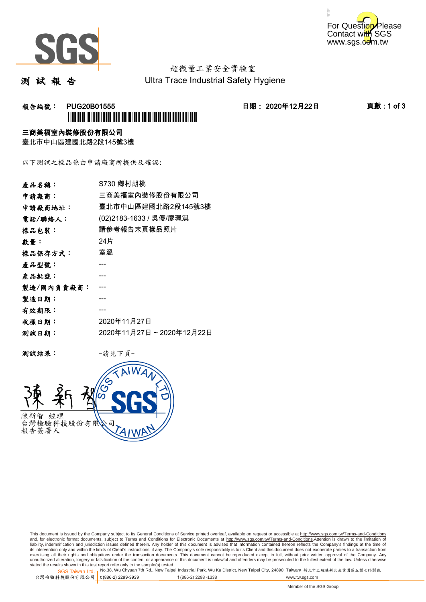



# 超微量工業安全實驗室

測 試 報 告

Ultra Trace Industrial Safety Hygiene

### **報告編號: PUG20B01555 日期: 2020年12月22日 頁數:1 of 3** \*PUG20B01555\*

#### 三商美福室內裝修股份有限公司

臺北市中山區建國北路2段145號3樓

以下測試之樣品係由申請廠商所提供及確認:

| 產品名稱:      | S730 鄉村胡桃               |
|------------|-------------------------|
| 申請廠商:      | 三商美福室內裝修股份有限公司          |
| 申請廠商地址:    | 臺北市中山區建國北路2段145號3樓      |
| 電話/聯絡人:    | (02)2183-1633 / 吳優/廖珮淇  |
| 樣品包裝:      | 請參考報告末頁樣品照片             |
| 數量:        | 24片                     |
| 樣品保存方式:    | 室溫                      |
| 產品型號:      |                         |
| 產品批號:      |                         |
| 製造/國內負責廠商: |                         |
| 製造日期:      |                         |
| 有效期限:      |                         |
| 收樣日期:      | 2020年11月27日             |
| 测試日期:      | 2020年11月27日~2020年12月22日 |

测試結果: 一請見下頁



This document is issued by the Company subject to its General Conditions of Service printed overleaf, available on request or accessible at http://www.sgs.com.tw/Terms-and-Conditions and, for electronic format documents, subject to Terms and Conditions for Electronic Documents at <u>http://www.sgs.com.tw/Terms-and-Conditions</u>.Attention is drawn to the limitation of<br>liability, indemnification and jurisdic exercising all their rights and obligations under the transaction documents. This document cannot be reproduced except in full, without prior written approval of the Company. Any<br>unauthorized alteration, forgery or falsifi

SGS Taiwan Ltd. 1 stated the results shown in this test report refer only to the sample(s) tested.<br>Stated the results shown in this test report refer only to the sample(s) tested.

台灣檢驗科技股份有限公司

**t** (886-2) 2299-3939 **f** (886-2) 2298 -1338 www.tw.sgs.com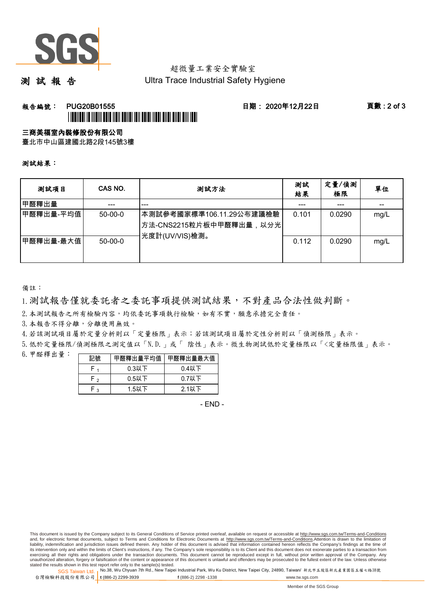

# 超微量工業安全實驗室

測 試 報 告

Ultra Trace Industrial Safety Hygiene

### **報告編號: PUG20B01555 日期: 2020年12月22日 頁數:2 of 3** \*PUTATION IN INGIN TELEVISION ANIMATELY AND INTEL AND AND TELEVISION

#### 三商美福室內裝修股份有限公司

臺北市中山區建國北路2段145號3樓

測試結果:

| 测試項目      | CAS NO.       | 測試方法                                                                                | 測試<br>結果 | 定量/偵測<br>極限 | 單位   |
|-----------|---------------|-------------------------------------------------------------------------------------|----------|-------------|------|
| 甲醛釋出量     |               | ---                                                                                 |          | ---         |      |
| 甲醛釋出量-平均值 | $50 - 00 - 0$ | 本測試參考國家標準106.11.29公布建議檢驗<br><sup> </sup> 方法-CNS2215粒片板中甲醛釋出量,以分光 <br>光度計(UV/VIS)檢測。 | 0.101    | 0.0290      | mg/L |
| 甲醛釋出量-最大值 | $50 - 00 - 0$ |                                                                                     | 0.112    | 0.0290      | mg/L |

備註:

1.測試報告僅就委託者之委託事項提供測試結果,不對產品合法性做判斷。

2.本測試報告之所有檢驗內容,均依委託事項執行檢驗,如有不實,願意承擔完全責任。

3. 本報告不得分離,分離使用無效。

4.若該測試項目屬於定量分析則以「定量極限」表示;若該測試項目屬於定性分析則以「偵測極限」表示。

5.低於定量極限/偵測極限之測定值以「N.D.」或「 陰性」表示。微生物測試低於定量極限以「<定量極限值」表示。

6.甲醛釋出量:

| 記號  | 甲醛釋出量平均值丨 | 甲醛釋出量最大值 |  |  |
|-----|-----------|----------|--|--|
|     | $0.3$ 以下  | $0.4$ 以下 |  |  |
| ົ່າ | $0.5$ 以下  | $0.7$ 以下 |  |  |
| ົ   | $1.5$ 以下  | $2.1$ 以下 |  |  |

- END -

This document is issued by the Company subject to its General Conditions of Service printed overleaf, available on request or accessible at http://www.sgs.com.tw/Terms-and-Conditions and, for electronic format documents, subject to Terms and Conditions for Electronic Documents at http://www.sgs.com.tw/Terms-and-Conditions.Attention is drawn to the limitation of liability, indemnification and jurisdiction issues defined therein. Any holder of this document is advised that information contained hereon reflects the Company's findings at the time of<br>its intervention only and within t exercising all their rights and obligations under the transaction documents. This document cannot be reproduced except in full, without prior written approval of the Company. Any<br>unauthorized alteration, forgery or falsifi

SGS Taiwan Ltd. 1 stated the results shown in this test report refer only to the sample(s) tested.<br>Stated the results shown in this test report refer only to the sample(s) tested.

台灣檢驗科技股份有限公司

**t** (886-2) 2299-3939 **f** (886-2) 2298 -1338 www.tw.sgs.com